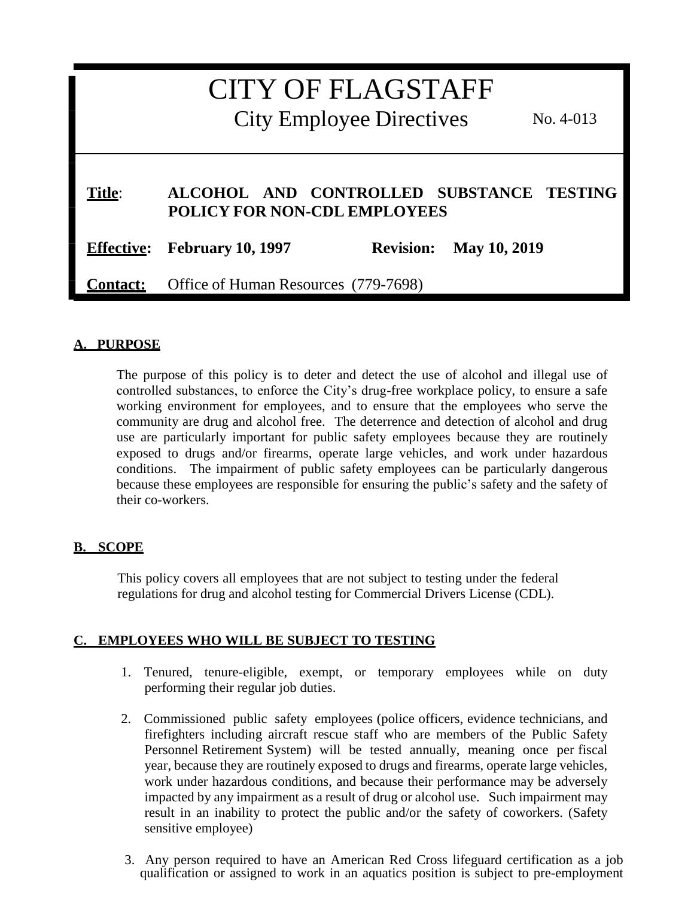# CITY OF FLAGSTAFF City Employee Directives No. 4-013 **Title**: **ALCOHOL AND CONTROLLED SUBSTANCE TESTING POLICY FOR NON-CDL EMPLOYEES Effective: February 10, 1997 Revision: May 10, 2019 Contact:** Office of Human Resources (779-7698)

## **A. PURPOSE**

The purpose of this policy is to deter and detect the use of alcohol and illegal use of controlled substances, to enforce the City's drug-free workplace policy, to ensure a safe working environment for employees, and to ensure that the employees who serve the community are drug and alcohol free. The deterrence and detection of alcohol and drug use are particularly important for public safety employees because they are routinely exposed to drugs and/or firearms, operate large vehicles, and work under hazardous conditions. The impairment of public safety employees can be particularly dangerous because these employees are responsible for ensuring the public's safety and the safety of their co-workers.

#### **B. SCOPE**

This policy covers all employees that are not subject to testing under the federal regulations for drug and alcohol testing for Commercial Drivers License (CDL).

#### **C. EMPLOYEES WHO WILL BE SUBJECT TO TESTING**

- 1. Tenured, tenure-eligible, exempt, or temporary employees while on duty performing their regular job duties.
- 2. Commissioned public safety employees (police officers, evidence technicians, and firefighters including aircraft rescue staff who are members of the Public Safety Personnel Retirement System) will be tested annually, meaning once per fiscal year, because they are routinely exposed to drugs and firearms, operate large vehicles, work under hazardous conditions, and because their performance may be adversely impacted by any impairment as a result of drug or alcohol use. Such impairment may result in an inability to protect the public and/or the safety of coworkers. (Safety sensitive employee)
- 3. Any person required to have an American Red Cross lifeguard certification as a job qualification or assigned to work in an aquatics position is subject to pre-employment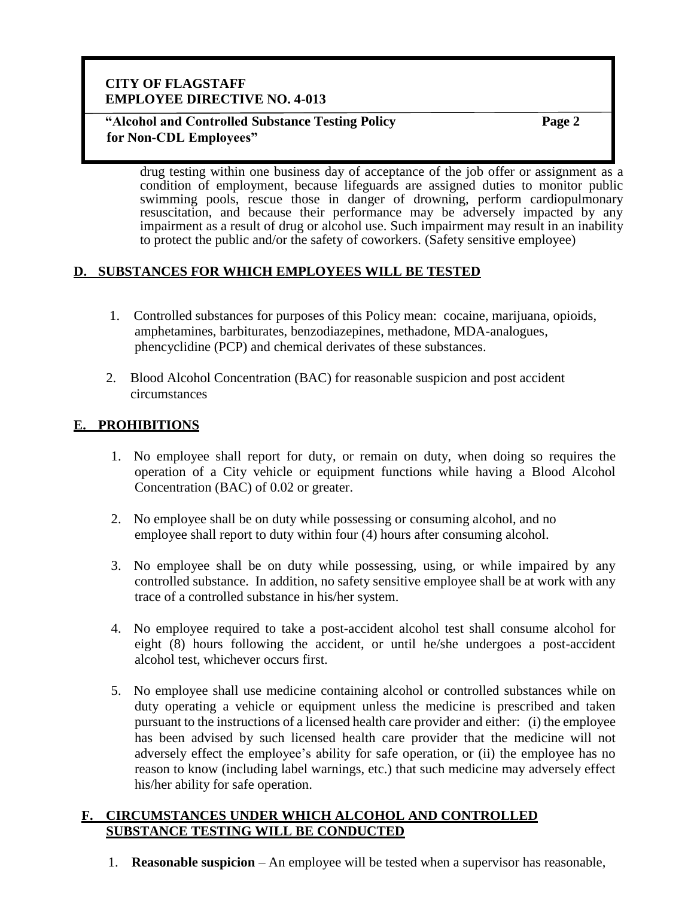#### **"Alcohol and Controlled Substance Testing Policy for Non-CDL Employees"**

**Page 2**

drug testing within one business day of acceptance of the job offer or assignment as a condition of employment, because lifeguards are assigned duties to monitor public swimming pools, rescue those in danger of drowning, perform cardiopulmonary resuscitation, and because their performance may be adversely impacted by any impairment as a result of drug or alcohol use. Such impairment may result in an inability to protect the public and/or the safety of coworkers. (Safety sensitive employee)

## **D. SUBSTANCES FOR WHICH EMPLOYEES WILL BE TESTED**

- 1. Controlled substances for purposes of this Policy mean: cocaine, marijuana, opioids, amphetamines, barbiturates, benzodiazepines, methadone, MDA-analogues, phencyclidine (PCP) and chemical derivates of these substances.
- 2. Blood Alcohol Concentration (BAC) for reasonable suspicion and post accident circumstances

## **E. PROHIBITIONS**

- 1. No employee shall report for duty, or remain on duty, when doing so requires the operation of a City vehicle or equipment functions while having a Blood Alcohol Concentration (BAC) of 0.02 or greater.
- 2. No employee shall be on duty while possessing or consuming alcohol, and no employee shall report to duty within four (4) hours after consuming alcohol.
- 3. No employee shall be on duty while possessing, using, or while impaired by any controlled substance. In addition, no safety sensitive employee shall be at work with any trace of a controlled substance in his/her system.
- 4. No employee required to take a post-accident alcohol test shall consume alcohol for eight (8) hours following the accident, or until he/she undergoes a post-accident alcohol test, whichever occurs first.
- 5. No employee shall use medicine containing alcohol or controlled substances while on duty operating a vehicle or equipment unless the medicine is prescribed and taken pursuant to the instructions of a licensed health care provider and either: (i) the employee has been advised by such licensed health care provider that the medicine will not adversely effect the employee's ability for safe operation, or (ii) the employee has no reason to know (including label warnings, etc.) that such medicine may adversely effect his/her ability for safe operation.

#### **F. CIRCUMSTANCES UNDER WHICH ALCOHOL AND CONTROLLED SUBSTANCE TESTING WILL BE CONDUCTED**

1. **Reasonable suspicion** – An employee will be tested when a supervisor has reasonable,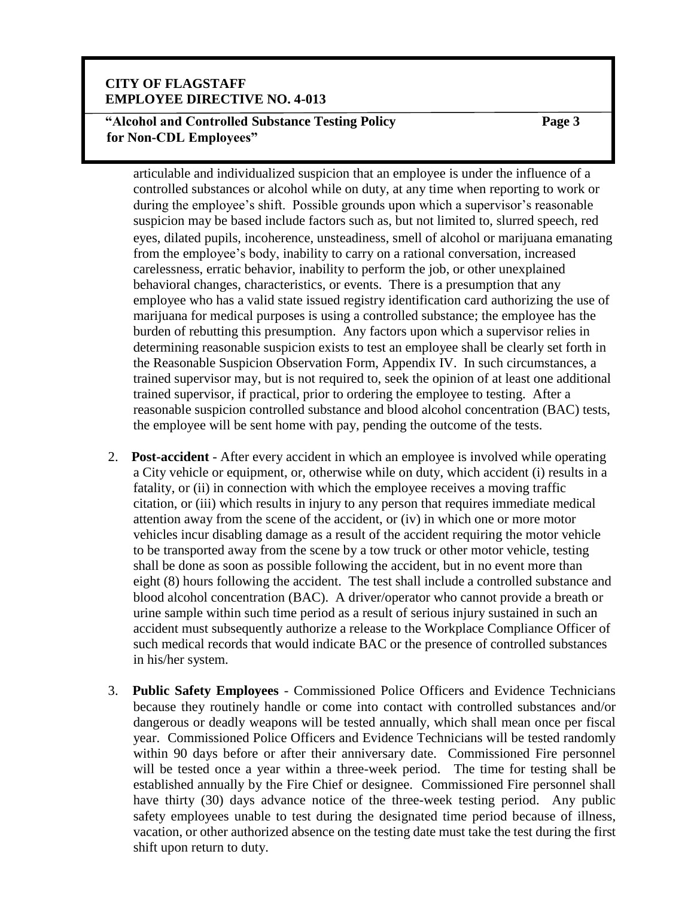#### **"Alcohol and Controlled Substance Testing Policy for Non-CDL Employees"**

**Page 3**

articulable and individualized suspicion that an employee is under the influence of a controlled substances or alcohol while on duty, at any time when reporting to work or during the employee's shift. Possible grounds upon which a supervisor's reasonable suspicion may be based include factors such as, but not limited to, slurred speech, red eyes, dilated pupils, incoherence, unsteadiness, smell of alcohol or marijuana emanating from the employee's body, inability to carry on a rational conversation, increased carelessness, erratic behavior, inability to perform the job, or other unexplained behavioral changes, characteristics, or events. There is a presumption that any employee who has a valid state issued registry identification card authorizing the use of marijuana for medical purposes is using a controlled substance; the employee has the burden of rebutting this presumption. Any factors upon which a supervisor relies in determining reasonable suspicion exists to test an employee shall be clearly set forth in the Reasonable Suspicion Observation Form, Appendix IV. In such circumstances, a trained supervisor may, but is not required to, seek the opinion of at least one additional trained supervisor, if practical, prior to ordering the employee to testing. After a reasonable suspicion controlled substance and blood alcohol concentration (BAC) tests, the employee will be sent home with pay, pending the outcome of the tests.

- 2. **Post-accident**  After every accident in which an employee is involved while operating a City vehicle or equipment, or, otherwise while on duty, which accident (i) results in a fatality, or (ii) in connection with which the employee receives a moving traffic citation, or (iii) which results in injury to any person that requires immediate medical attention away from the scene of the accident, or (iv) in which one or more motor vehicles incur disabling damage as a result of the accident requiring the motor vehicle to be transported away from the scene by a tow truck or other motor vehicle, testing shall be done as soon as possible following the accident, but in no event more than eight (8) hours following the accident. The test shall include a controlled substance and blood alcohol concentration (BAC). A driver/operator who cannot provide a breath or urine sample within such time period as a result of serious injury sustained in such an accident must subsequently authorize a release to the Workplace Compliance Officer of such medical records that would indicate BAC or the presence of controlled substances in his/her system.
- 3. **Public Safety Employees** Commissioned Police Officers and Evidence Technicians because they routinely handle or come into contact with controlled substances and/or dangerous or deadly weapons will be tested annually, which shall mean once per fiscal year. Commissioned Police Officers and Evidence Technicians will be tested randomly within 90 days before or after their anniversary date. Commissioned Fire personnel will be tested once a year within a three-week period. The time for testing shall be established annually by the Fire Chief or designee. Commissioned Fire personnel shall have thirty (30) days advance notice of the three-week testing period. Any public safety employees unable to test during the designated time period because of illness, vacation, or other authorized absence on the testing date must take the test during the first shift upon return to duty.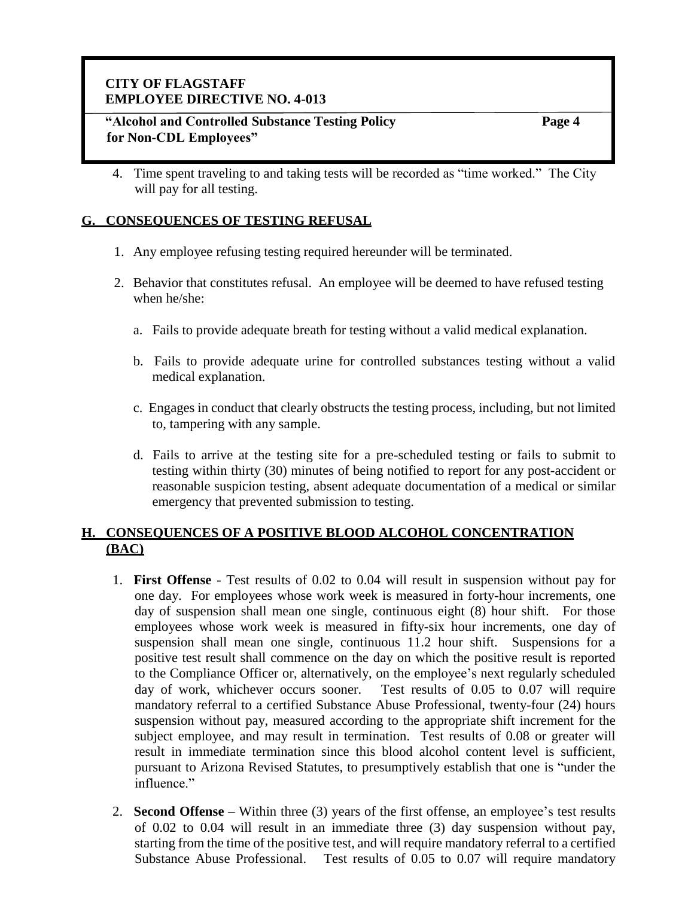#### **"Alcohol and Controlled Substance Testing Policy for Non-CDL Employees"**

**Page 4**

4. Time spent traveling to and taking tests will be recorded as "time worked." The City will pay for all testing.

#### **G. CONSEQUENCES OF TESTING REFUSAL**

- 1. Any employee refusing testing required hereunder will be terminated.
- 2. Behavior that constitutes refusal. An employee will be deemed to have refused testing when he/she:
	- a. Fails to provide adequate breath for testing without a valid medical explanation.
	- b. Fails to provide adequate urine for controlled substances testing without a valid medical explanation.
	- c. Engages in conduct that clearly obstructs the testing process, including, but not limited to, tampering with any sample.
	- d. Fails to arrive at the testing site for a pre-scheduled testing or fails to submit to testing within thirty (30) minutes of being notified to report for any post-accident or reasonable suspicion testing, absent adequate documentation of a medical or similar emergency that prevented submission to testing.

#### **H. CONSEQUENCES OF A POSITIVE BLOOD ALCOHOL CONCENTRATION (BAC)**

- 1. **First Offense** Test results of 0.02 to 0.04 will result in suspension without pay for one day. For employees whose work week is measured in forty-hour increments, one day of suspension shall mean one single, continuous eight (8) hour shift. For those employees whose work week is measured in fifty-six hour increments, one day of suspension shall mean one single, continuous 11.2 hour shift. Suspensions for a positive test result shall commence on the day on which the positive result is reported to the Compliance Officer or, alternatively, on the employee's next regularly scheduled day of work, whichever occurs sooner. Test results of 0.05 to 0.07 will require mandatory referral to a certified Substance Abuse Professional, twenty-four (24) hours suspension without pay, measured according to the appropriate shift increment for the subject employee, and may result in termination. Test results of 0.08 or greater will result in immediate termination since this blood alcohol content level is sufficient, pursuant to Arizona Revised Statutes, to presumptively establish that one is "under the influence."
- 2. **Second Offense** Within three (3) years of the first offense, an employee's test results of 0.02 to 0.04 will result in an immediate three (3) day suspension without pay, starting from the time of the positive test, and will require mandatory referral to a certified Substance Abuse Professional. Test results of 0.05 to 0.07 will require mandatory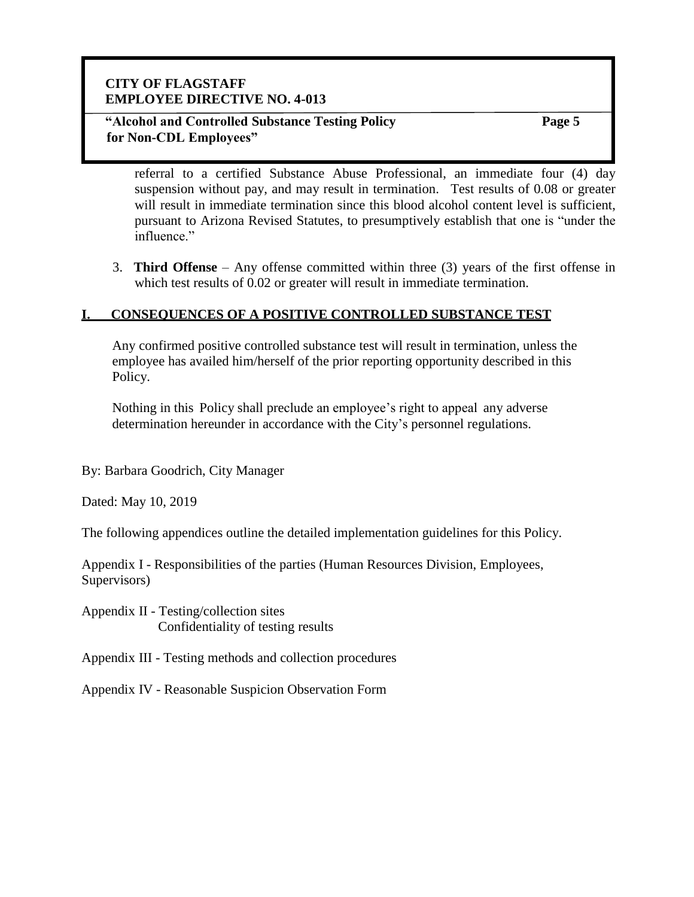#### **"Alcohol and Controlled Substance Testing Policy for Non-CDL Employees"**

**Page 5**

referral to a certified Substance Abuse Professional, an immediate four (4) day suspension without pay, and may result in termination. Test results of 0.08 or greater will result in immediate termination since this blood alcohol content level is sufficient, pursuant to Arizona Revised Statutes, to presumptively establish that one is "under the influence."

3. **Third Offense** – Any offense committed within three (3) years of the first offense in which test results of 0.02 or greater will result in immediate termination.

## **I. CONSEQUENCES OF A POSITIVE CONTROLLED SUBSTANCE TEST**

Any confirmed positive controlled substance test will result in termination, unless the employee has availed him/herself of the prior reporting opportunity described in this Policy.

Nothing in this Policy shall preclude an employee's right to appeal any adverse determination hereunder in accordance with the City's personnel regulations.

By: Barbara Goodrich, City Manager

Dated: May 10, 2019

The following appendices outline the detailed implementation guidelines for this Policy.

Appendix I - Responsibilities of the parties (Human Resources Division, Employees, Supervisors)

Appendix II - Testing/collection sites Confidentiality of testing results

Appendix III - Testing methods and collection procedures

Appendix IV - Reasonable Suspicion Observation Form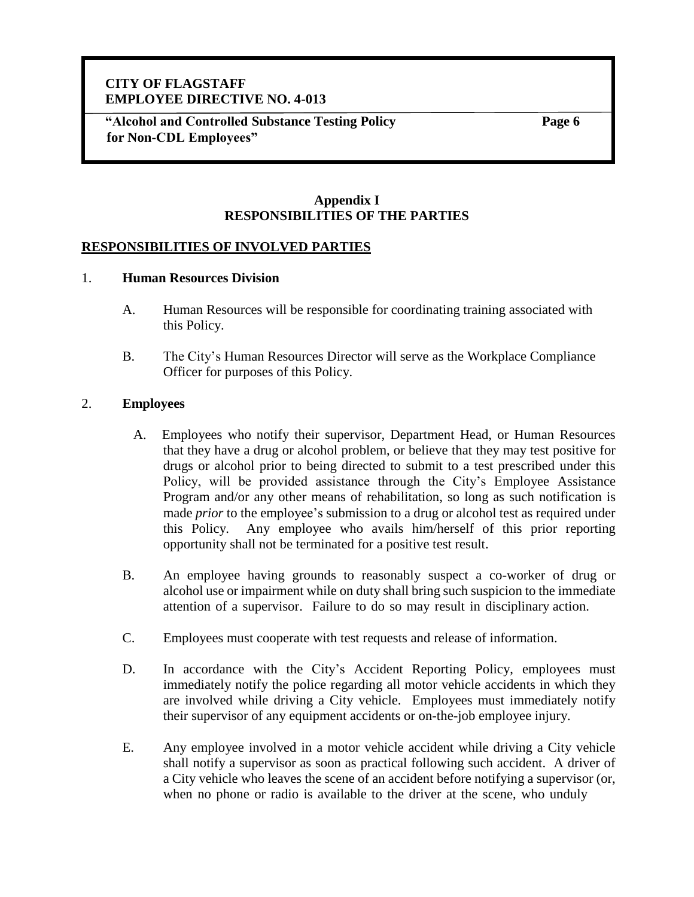**"Alcohol and Controlled Substance Testing Policy for Non-CDL Employees"**

**Page 6**

#### **Appendix I RESPONSIBILITIES OF THE PARTIES**

#### **RESPONSIBILITIES OF INVOLVED PARTIES**

#### 1. **Human Resources Division**

- A. Human Resources will be responsible for coordinating training associated with this Policy.
- B. The City's Human Resources Director will serve as the Workplace Compliance Officer for purposes of this Policy.

#### 2. **Employees**

- A. Employees who notify their supervisor, Department Head, or Human Resources that they have a drug or alcohol problem, or believe that they may test positive for drugs or alcohol prior to being directed to submit to a test prescribed under this Policy, will be provided assistance through the City's Employee Assistance Program and/or any other means of rehabilitation, so long as such notification is made *prior* to the employee's submission to a drug or alcohol test as required under this Policy. Any employee who avails him/herself of this prior reporting opportunity shall not be terminated for a positive test result.
- B. An employee having grounds to reasonably suspect a co-worker of drug or alcohol use or impairment while on duty shall bring such suspicion to the immediate attention of a supervisor. Failure to do so may result in disciplinary action.
- C. Employees must cooperate with test requests and release of information.
- D. In accordance with the City's Accident Reporting Policy, employees must immediately notify the police regarding all motor vehicle accidents in which they are involved while driving a City vehicle. Employees must immediately notify their supervisor of any equipment accidents or on-the-job employee injury.
- E. Any employee involved in a motor vehicle accident while driving a City vehicle shall notify a supervisor as soon as practical following such accident. A driver of a City vehicle who leaves the scene of an accident before notifying a supervisor (or, when no phone or radio is available to the driver at the scene, who unduly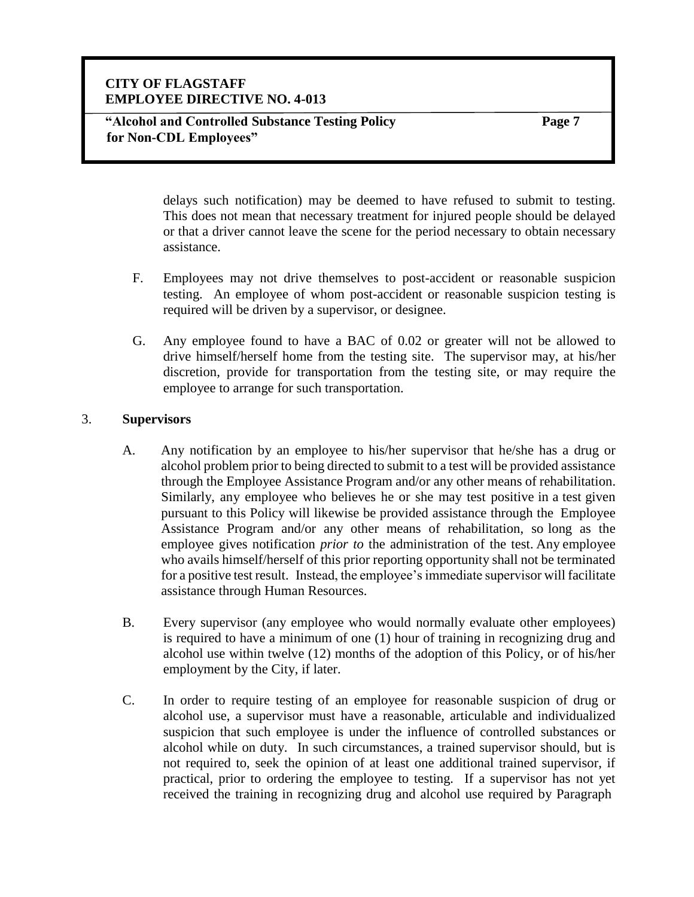**Page 7**

delays such notification) may be deemed to have refused to submit to testing. This does not mean that necessary treatment for injured people should be delayed or that a driver cannot leave the scene for the period necessary to obtain necessary assistance.

- F. Employees may not drive themselves to post-accident or reasonable suspicion testing. An employee of whom post-accident or reasonable suspicion testing is required will be driven by a supervisor, or designee.
- G. Any employee found to have a BAC of 0.02 or greater will not be allowed to drive himself/herself home from the testing site. The supervisor may, at his/her discretion, provide for transportation from the testing site, or may require the employee to arrange for such transportation.

#### 3. **Supervisors**

- A. Any notification by an employee to his/her supervisor that he/she has a drug or alcohol problem prior to being directed to submit to a test will be provided assistance through the Employee Assistance Program and/or any other means of rehabilitation. Similarly, any employee who believes he or she may test positive in a test given pursuant to this Policy will likewise be provided assistance through the Employee Assistance Program and/or any other means of rehabilitation, so long as the employee gives notification *prior to* the administration of the test. Any employee who avails himself/herself of this prior reporting opportunity shall not be terminated for a positive test result. Instead, the employee's immediate supervisor will facilitate assistance through Human Resources.
- B. Every supervisor (any employee who would normally evaluate other employees) is required to have a minimum of one (1) hour of training in recognizing drug and alcohol use within twelve (12) months of the adoption of this Policy, or of his/her employment by the City, if later.
- C. In order to require testing of an employee for reasonable suspicion of drug or alcohol use, a supervisor must have a reasonable, articulable and individualized suspicion that such employee is under the influence of controlled substances or alcohol while on duty. In such circumstances, a trained supervisor should, but is not required to, seek the opinion of at least one additional trained supervisor, if practical, prior to ordering the employee to testing. If a supervisor has not yet received the training in recognizing drug and alcohol use required by Paragraph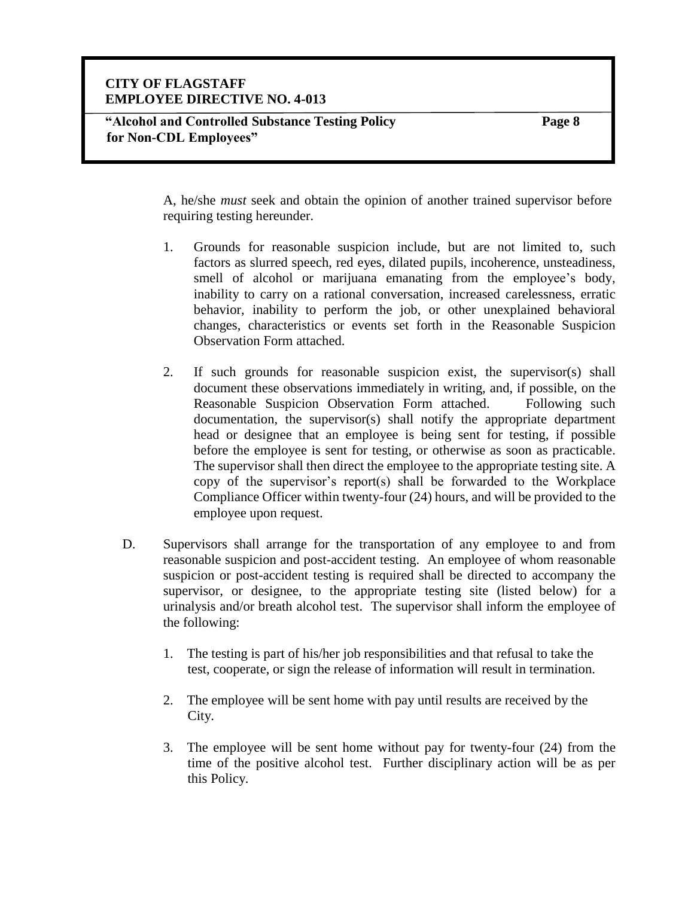**Page 8**

A, he/she *must* seek and obtain the opinion of another trained supervisor before requiring testing hereunder.

- 1. Grounds for reasonable suspicion include, but are not limited to, such factors as slurred speech, red eyes, dilated pupils, incoherence, unsteadiness, smell of alcohol or marijuana emanating from the employee's body, inability to carry on a rational conversation, increased carelessness, erratic behavior, inability to perform the job, or other unexplained behavioral changes, characteristics or events set forth in the Reasonable Suspicion Observation Form attached.
- 2. If such grounds for reasonable suspicion exist, the supervisor(s) shall document these observations immediately in writing, and, if possible, on the Reasonable Suspicion Observation Form attached. Following such documentation, the supervisor(s) shall notify the appropriate department head or designee that an employee is being sent for testing, if possible before the employee is sent for testing, or otherwise as soon as practicable. The supervisor shall then direct the employee to the appropriate testing site. A copy of the supervisor's report(s) shall be forwarded to the Workplace Compliance Officer within twenty-four (24) hours, and will be provided to the employee upon request.
- D. Supervisors shall arrange for the transportation of any employee to and from reasonable suspicion and post-accident testing. An employee of whom reasonable suspicion or post-accident testing is required shall be directed to accompany the supervisor, or designee, to the appropriate testing site (listed below) for a urinalysis and/or breath alcohol test. The supervisor shall inform the employee of the following:
	- 1. The testing is part of his/her job responsibilities and that refusal to take the test, cooperate, or sign the release of information will result in termination.
	- 2. The employee will be sent home with pay until results are received by the City.
	- 3. The employee will be sent home without pay for twenty-four (24) from the time of the positive alcohol test. Further disciplinary action will be as per this Policy.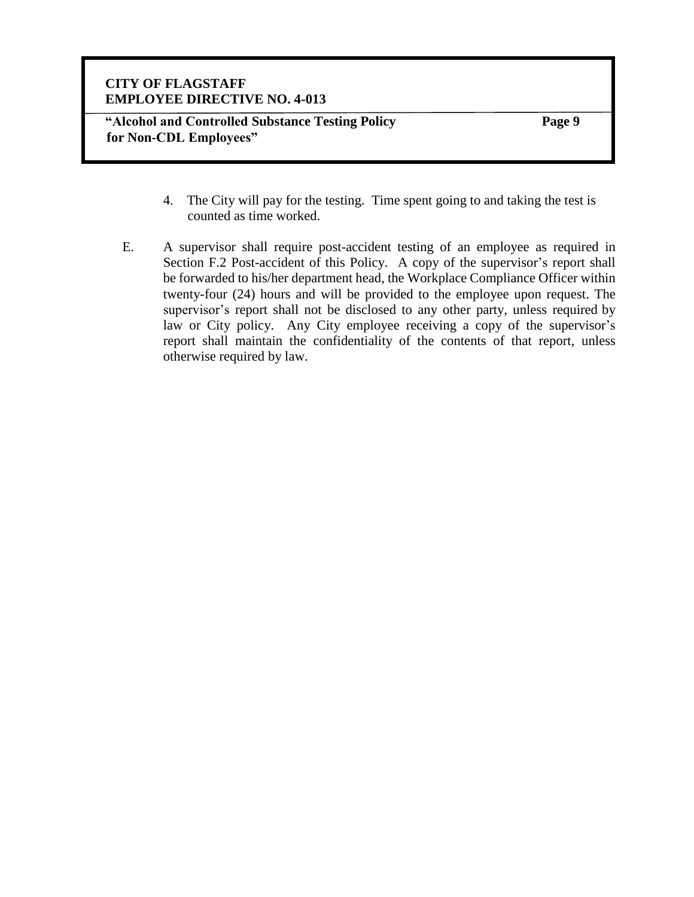**"Alcohol and Controlled Substance Testing Policy for Non-CDL Employees"**

**Page 9**

- 4. The City will pay for the testing. Time spent going to and taking the test is counted as time worked.
- E. A supervisor shall require post-accident testing of an employee as required in Section F.2 Post-accident of this Policy. A copy of the supervisor's report shall be forwarded to his/her department head, the Workplace Compliance Officer within twenty-four (24) hours and will be provided to the employee upon request. The supervisor's report shall not be disclosed to any other party, unless required by law or City policy. Any City employee receiving a copy of the supervisor's report shall maintain the confidentiality of the contents of that report, unless otherwise required by law.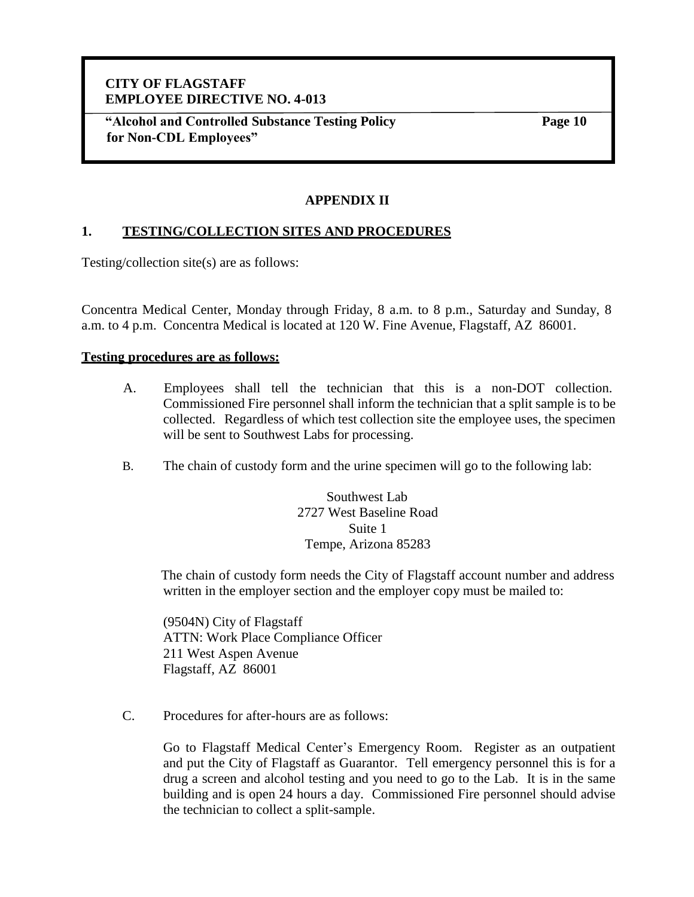**"Alcohol and Controlled Substance Testing Policy for Non-CDL Employees"**

**Page 10**

## **APPENDIX II**

#### **1. TESTING/COLLECTION SITES AND PROCEDURES**

Testing/collection site(s) are as follows:

Concentra Medical Center, Monday through Friday, 8 a.m. to 8 p.m., Saturday and Sunday, 8 a.m. to 4 p.m. Concentra Medical is located at 120 W. Fine Avenue, Flagstaff, AZ 86001.

#### **Testing procedures are as follows:**

- A. Employees shall tell the technician that this is a non-DOT collection. Commissioned Fire personnel shall inform the technician that a split sample is to be collected. Regardless of which test collection site the employee uses, the specimen will be sent to Southwest Labs for processing.
- B. The chain of custody form and the urine specimen will go to the following lab:

Southwest Lab 2727 West Baseline Road Suite 1 Tempe, Arizona 85283

The chain of custody form needs the City of Flagstaff account number and address written in the employer section and the employer copy must be mailed to:

(9504N) City of Flagstaff ATTN: Work Place Compliance Officer 211 West Aspen Avenue Flagstaff, AZ 86001

C. Procedures for after-hours are as follows:

Go to Flagstaff Medical Center's Emergency Room. Register as an outpatient and put the City of Flagstaff as Guarantor. Tell emergency personnel this is for a drug a screen and alcohol testing and you need to go to the Lab. It is in the same building and is open 24 hours a day. Commissioned Fire personnel should advise the technician to collect a split-sample.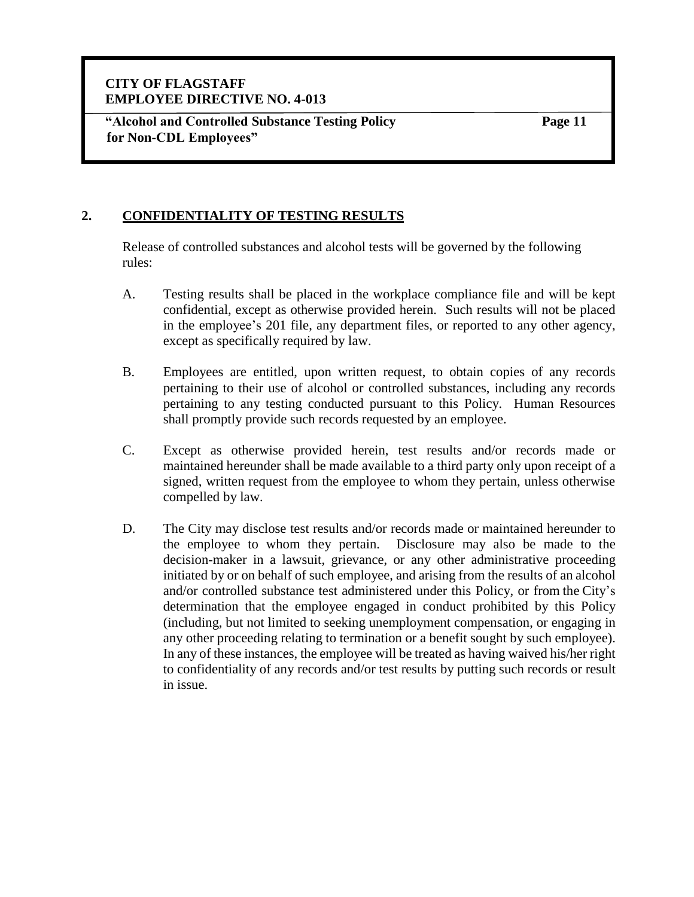**"Alcohol and Controlled Substance Testing Policy for Non-CDL Employees"**

**Page 11**

# **2. CONFIDENTIALITY OF TESTING RESULTS**

Release of controlled substances and alcohol tests will be governed by the following rules:

- A. Testing results shall be placed in the workplace compliance file and will be kept confidential, except as otherwise provided herein. Such results will not be placed in the employee's 201 file, any department files, or reported to any other agency, except as specifically required by law.
- B. Employees are entitled, upon written request, to obtain copies of any records pertaining to their use of alcohol or controlled substances, including any records pertaining to any testing conducted pursuant to this Policy. Human Resources shall promptly provide such records requested by an employee.
- C. Except as otherwise provided herein, test results and/or records made or maintained hereunder shall be made available to a third party only upon receipt of a signed, written request from the employee to whom they pertain, unless otherwise compelled by law.
- D. The City may disclose test results and/or records made or maintained hereunder to the employee to whom they pertain. Disclosure may also be made to the decision-maker in a lawsuit, grievance, or any other administrative proceeding initiated by or on behalf of such employee, and arising from the results of an alcohol and/or controlled substance test administered under this Policy, or from the City's determination that the employee engaged in conduct prohibited by this Policy (including, but not limited to seeking unemployment compensation, or engaging in any other proceeding relating to termination or a benefit sought by such employee). In any of these instances, the employee will be treated as having waived his/her right to confidentiality of any records and/or test results by putting such records or result in issue.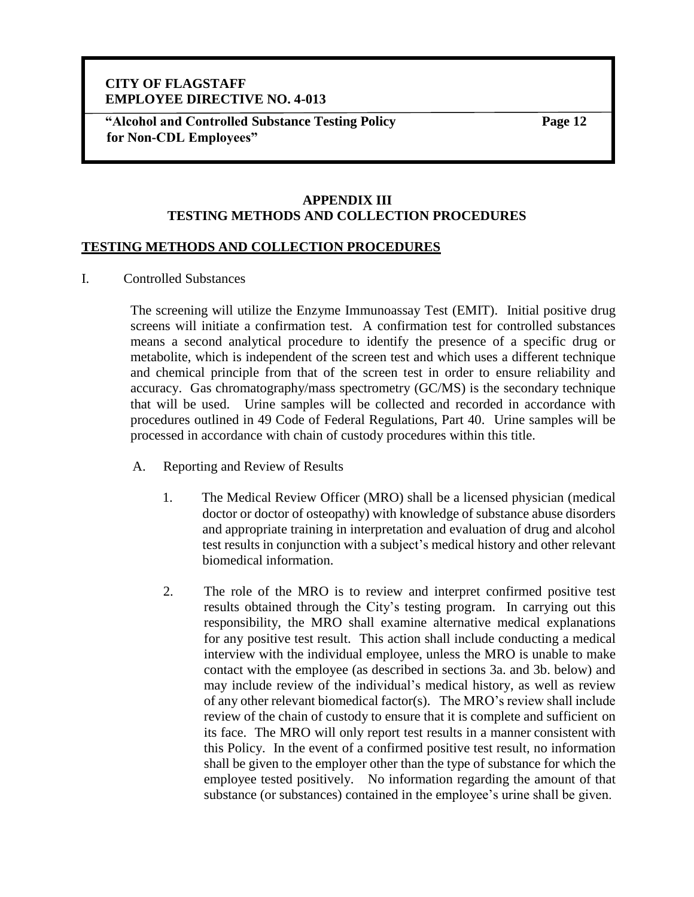**"Alcohol and Controlled Substance Testing Policy for Non-CDL Employees"**

**Page 12**

#### **APPENDIX III TESTING METHODS AND COLLECTION PROCEDURES**

#### **TESTING METHODS AND COLLECTION PROCEDURES**

I. Controlled Substances

The screening will utilize the Enzyme Immunoassay Test (EMIT). Initial positive drug screens will initiate a confirmation test. A confirmation test for controlled substances means a second analytical procedure to identify the presence of a specific drug or metabolite, which is independent of the screen test and which uses a different technique and chemical principle from that of the screen test in order to ensure reliability and accuracy. Gas chromatography/mass spectrometry (GC/MS) is the secondary technique that will be used. Urine samples will be collected and recorded in accordance with procedures outlined in 49 Code of Federal Regulations, Part 40. Urine samples will be processed in accordance with chain of custody procedures within this title.

- A. Reporting and Review of Results
	- 1. The Medical Review Officer (MRO) shall be a licensed physician (medical doctor or doctor of osteopathy) with knowledge of substance abuse disorders and appropriate training in interpretation and evaluation of drug and alcohol test results in conjunction with a subject's medical history and other relevant biomedical information.
	- 2. The role of the MRO is to review and interpret confirmed positive test results obtained through the City's testing program. In carrying out this responsibility, the MRO shall examine alternative medical explanations for any positive test result. This action shall include conducting a medical interview with the individual employee, unless the MRO is unable to make contact with the employee (as described in sections 3a. and 3b. below) and may include review of the individual's medical history, as well as review of any other relevant biomedical factor(s). The MRO's review shall include review of the chain of custody to ensure that it is complete and sufficient on its face. The MRO will only report test results in a manner consistent with this Policy. In the event of a confirmed positive test result, no information shall be given to the employer other than the type of substance for which the employee tested positively. No information regarding the amount of that substance (or substances) contained in the employee's urine shall be given.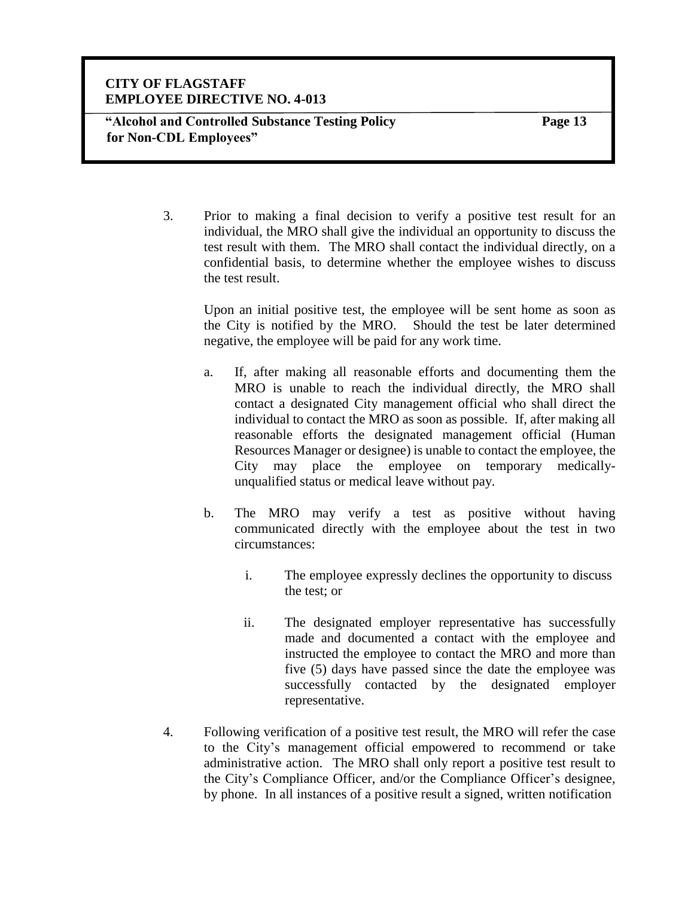**"Alcohol and Controlled Substance Testing Policy for Non-CDL Employees"**

**Page 13**

3. Prior to making a final decision to verify a positive test result for an individual, the MRO shall give the individual an opportunity to discuss the test result with them. The MRO shall contact the individual directly, on a confidential basis, to determine whether the employee wishes to discuss the test result.

Upon an initial positive test, the employee will be sent home as soon as the City is notified by the MRO. Should the test be later determined negative, the employee will be paid for any work time.

- a. If, after making all reasonable efforts and documenting them the MRO is unable to reach the individual directly, the MRO shall contact a designated City management official who shall direct the individual to contact the MRO as soon as possible. If, after making all reasonable efforts the designated management official (Human Resources Manager or designee) is unable to contact the employee, the City may place the employee on temporary medicallyunqualified status or medical leave without pay.
- b. The MRO may verify a test as positive without having communicated directly with the employee about the test in two circumstances:
	- i. The employee expressly declines the opportunity to discuss the test; or
	- ii. The designated employer representative has successfully made and documented a contact with the employee and instructed the employee to contact the MRO and more than five (5) days have passed since the date the employee was successfully contacted by the designated employer representative.
- 4. Following verification of a positive test result, the MRO will refer the case to the City's management official empowered to recommend or take administrative action. The MRO shall only report a positive test result to the City's Compliance Officer, and/or the Compliance Officer's designee, by phone. In all instances of a positive result a signed, written notification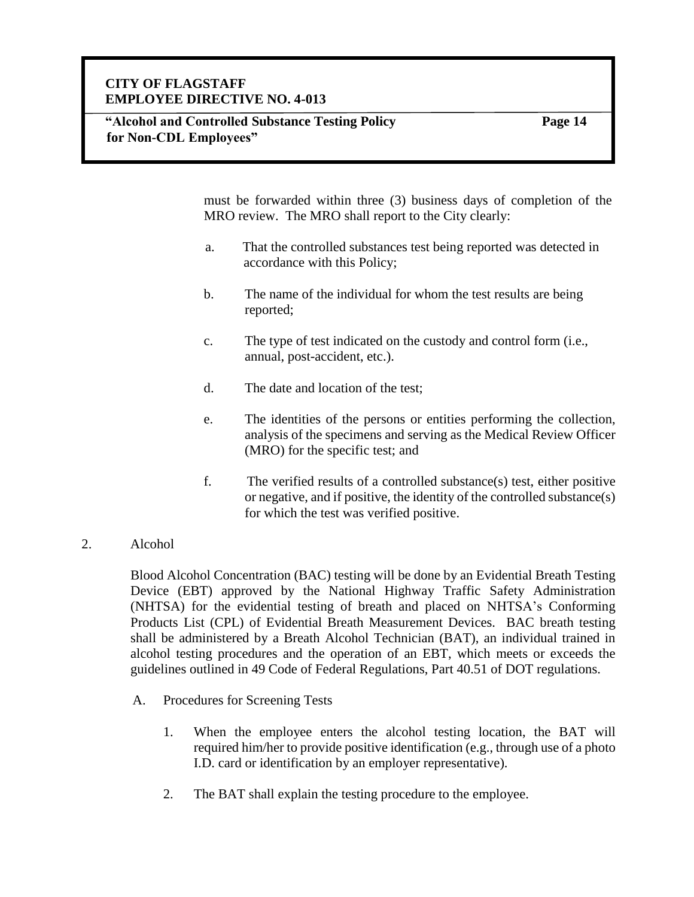**Page 14**

must be forwarded within three (3) business days of completion of the MRO review. The MRO shall report to the City clearly:

- a. That the controlled substances test being reported was detected in accordance with this Policy;
- b. The name of the individual for whom the test results are being reported;
- c. The type of test indicated on the custody and control form (i.e., annual, post-accident, etc.).
- d. The date and location of the test;
- e. The identities of the persons or entities performing the collection, analysis of the specimens and serving as the Medical Review Officer (MRO) for the specific test; and
- f. The verified results of a controlled substance(s) test, either positive or negative, and if positive, the identity of the controlled substance(s) for which the test was verified positive.

#### 2. Alcohol

Blood Alcohol Concentration (BAC) testing will be done by an Evidential Breath Testing Device (EBT) approved by the National Highway Traffic Safety Administration (NHTSA) for the evidential testing of breath and placed on NHTSA's Conforming Products List (CPL) of Evidential Breath Measurement Devices. BAC breath testing shall be administered by a Breath Alcohol Technician (BAT), an individual trained in alcohol testing procedures and the operation of an EBT, which meets or exceeds the guidelines outlined in 49 Code of Federal Regulations, Part 40.51 of DOT regulations.

- A. Procedures for Screening Tests
	- 1. When the employee enters the alcohol testing location, the BAT will required him/her to provide positive identification (e.g., through use of a photo I.D. card or identification by an employer representative).
	- 2. The BAT shall explain the testing procedure to the employee.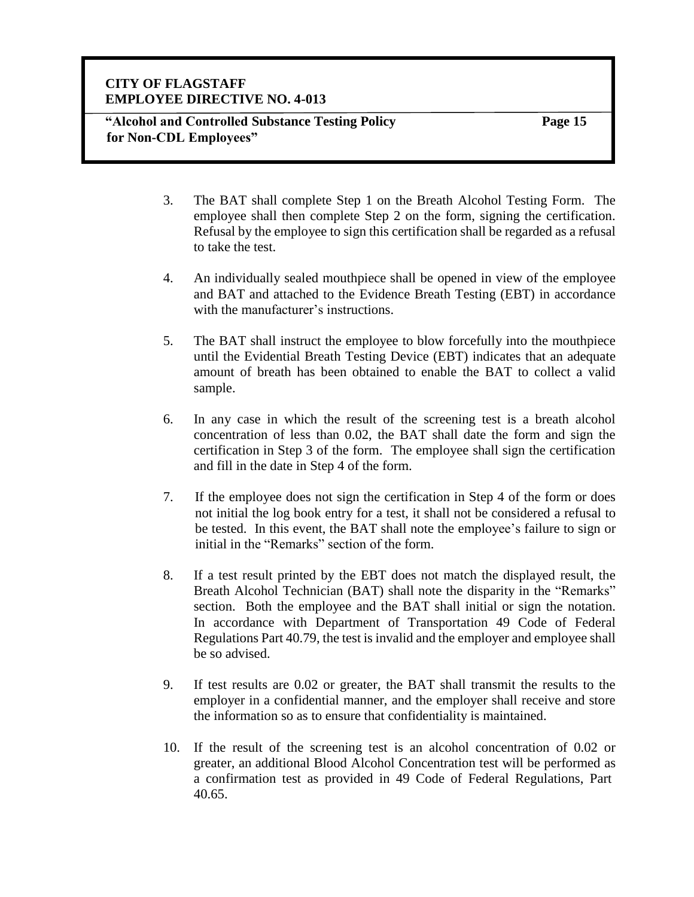**"Alcohol and Controlled Substance Testing Policy for Non-CDL Employees"**

**Page 15**

- 3. The BAT shall complete Step 1 on the Breath Alcohol Testing Form. The employee shall then complete Step 2 on the form, signing the certification. Refusal by the employee to sign this certification shall be regarded as a refusal to take the test.
- 4. An individually sealed mouthpiece shall be opened in view of the employee and BAT and attached to the Evidence Breath Testing (EBT) in accordance with the manufacturer's instructions.
- 5. The BAT shall instruct the employee to blow forcefully into the mouthpiece until the Evidential Breath Testing Device (EBT) indicates that an adequate amount of breath has been obtained to enable the BAT to collect a valid sample.
- 6. In any case in which the result of the screening test is a breath alcohol concentration of less than 0.02, the BAT shall date the form and sign the certification in Step 3 of the form. The employee shall sign the certification and fill in the date in Step 4 of the form.
- 7. If the employee does not sign the certification in Step 4 of the form or does not initial the log book entry for a test, it shall not be considered a refusal to be tested. In this event, the BAT shall note the employee's failure to sign or initial in the "Remarks" section of the form.
- 8. If a test result printed by the EBT does not match the displayed result, the Breath Alcohol Technician (BAT) shall note the disparity in the "Remarks" section. Both the employee and the BAT shall initial or sign the notation. In accordance with Department of Transportation 49 Code of Federal Regulations Part 40.79, the test is invalid and the employer and employee shall be so advised.
- 9. If test results are 0.02 or greater, the BAT shall transmit the results to the employer in a confidential manner, and the employer shall receive and store the information so as to ensure that confidentiality is maintained.
- 10. If the result of the screening test is an alcohol concentration of 0.02 or greater, an additional Blood Alcohol Concentration test will be performed as a confirmation test as provided in 49 Code of Federal Regulations, Part 40.65.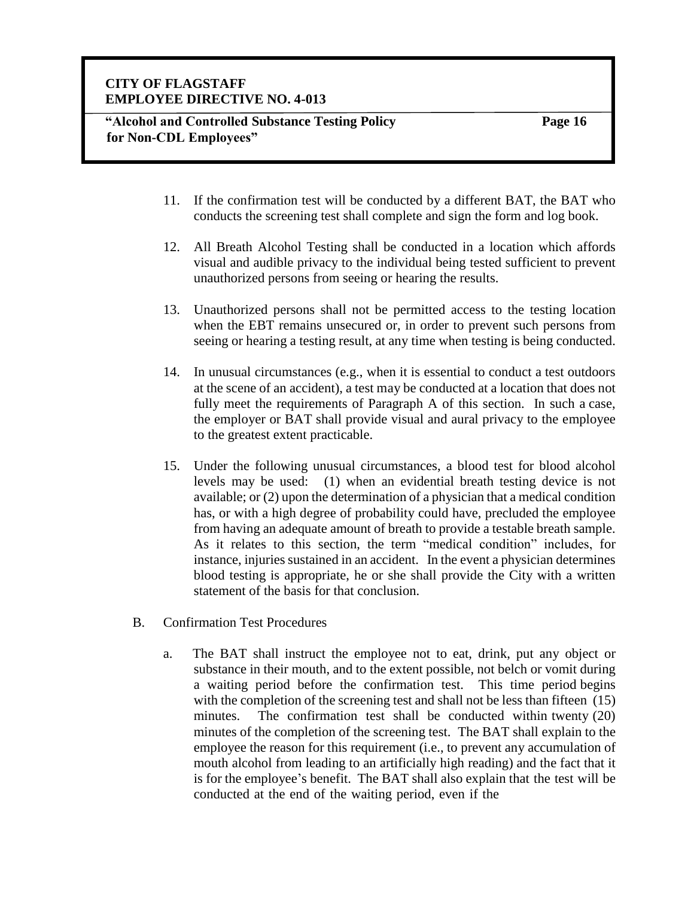**"Alcohol and Controlled Substance Testing Policy for Non-CDL Employees"**

**Page 16**

- 11. If the confirmation test will be conducted by a different BAT, the BAT who conducts the screening test shall complete and sign the form and log book.
- 12. All Breath Alcohol Testing shall be conducted in a location which affords visual and audible privacy to the individual being tested sufficient to prevent unauthorized persons from seeing or hearing the results.
- 13. Unauthorized persons shall not be permitted access to the testing location when the EBT remains unsecured or, in order to prevent such persons from seeing or hearing a testing result, at any time when testing is being conducted.
- 14. In unusual circumstances (e.g., when it is essential to conduct a test outdoors at the scene of an accident), a test may be conducted at a location that does not fully meet the requirements of Paragraph A of this section. In such a case, the employer or BAT shall provide visual and aural privacy to the employee to the greatest extent practicable.
- 15. Under the following unusual circumstances, a blood test for blood alcohol levels may be used: (1) when an evidential breath testing device is not available; or (2) upon the determination of a physician that a medical condition has, or with a high degree of probability could have, precluded the employee from having an adequate amount of breath to provide a testable breath sample. As it relates to this section, the term "medical condition" includes, for instance, injuries sustained in an accident. In the event a physician determines blood testing is appropriate, he or she shall provide the City with a written statement of the basis for that conclusion.
- B. Confirmation Test Procedures
	- a. The BAT shall instruct the employee not to eat, drink, put any object or substance in their mouth, and to the extent possible, not belch or vomit during a waiting period before the confirmation test. This time period begins with the completion of the screening test and shall not be less than fifteen (15) minutes. The confirmation test shall be conducted within twenty (20) minutes of the completion of the screening test. The BAT shall explain to the employee the reason for this requirement (i.e., to prevent any accumulation of mouth alcohol from leading to an artificially high reading) and the fact that it is for the employee's benefit. The BAT shall also explain that the test will be conducted at the end of the waiting period, even if the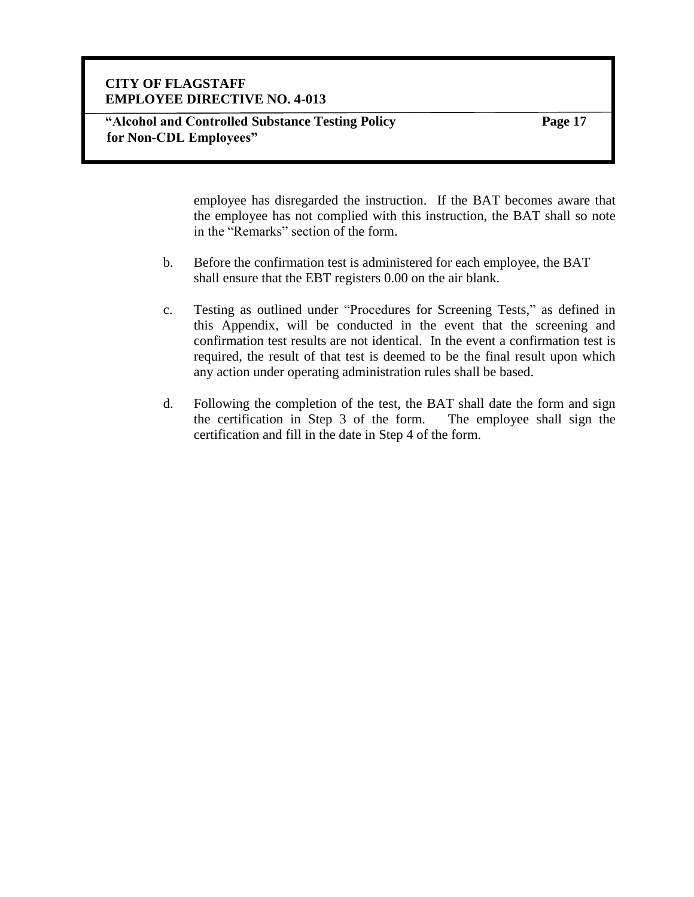**Page 17**

employee has disregarded the instruction. If the BAT becomes aware that the employee has not complied with this instruction, the BAT shall so note in the "Remarks" section of the form.

- b. Before the confirmation test is administered for each employee, the BAT shall ensure that the EBT registers 0.00 on the air blank.
- c. Testing as outlined under "Procedures for Screening Tests," as defined in this Appendix, will be conducted in the event that the screening and confirmation test results are not identical. In the event a confirmation test is required, the result of that test is deemed to be the final result upon which any action under operating administration rules shall be based.
- d. Following the completion of the test, the BAT shall date the form and sign the certification in Step 3 of the form. The employee shall sign the certification and fill in the date in Step 4 of the form.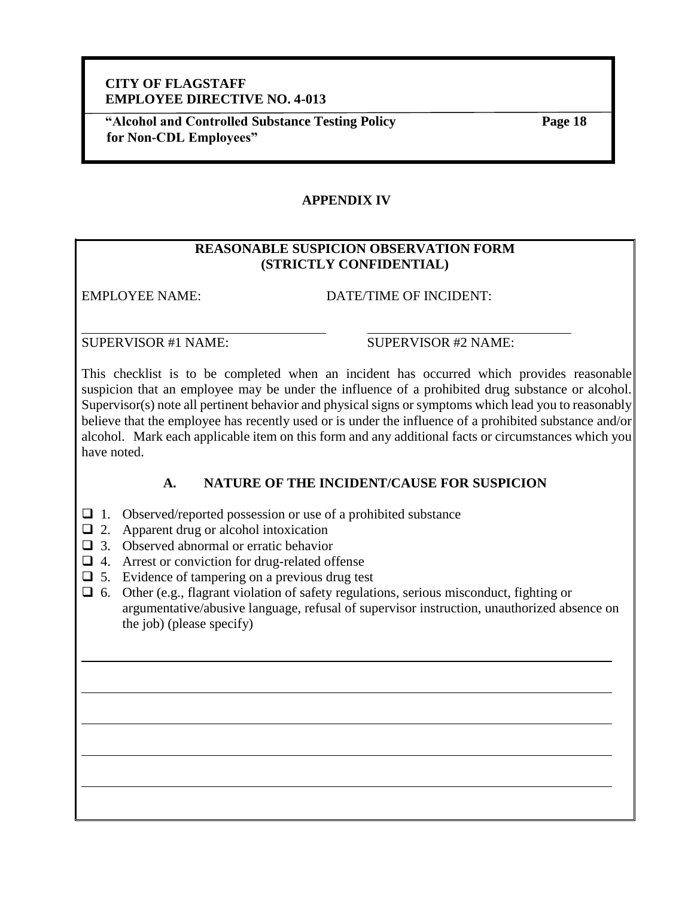**"Alcohol and Controlled Substance Testing Policy for Non-CDL Employees"**

**Page 18**

## **APPENDIX IV**

## **REASONABLE SUSPICION OBSERVATION FORM (STRICTLY CONFIDENTIAL)**

EMPLOYEE NAME: DATE/TIME OF INCIDENT:

SUPERVISOR #1 NAME: SUPERVISOR #2 NAME:

This checklist is to be completed when an incident has occurred which provides reasonable suspicion that an employee may be under the influence of a prohibited drug substance or alcohol. Supervisor(s) note all pertinent behavior and physical signs or symptoms which lead you to reasonably believe that the employee has recently used or is under the influence of a prohibited substance and/or alcohol. Mark each applicable item on this form and any additional facts or circumstances which you have noted.

# **A. NATURE OF THE INCIDENT/CAUSE FOR SUSPICION**

- $\Box$  1. Observed/reported possession or use of a prohibited substance
- $\Box$  2. Apparent drug or alcohol intoxication
- ❑ 3. Observed abnormal or erratic behavior
- $\Box$  4. Arrest or conviction for drug-related offense
- $\Box$  5. Evidence of tampering on a previous drug test

❑ 6. Other (e.g., flagrant violation of safety regulations, serious misconduct, fighting or argumentative/abusive language, refusal of supervisor instruction, unauthorized absence on the job) (please specify)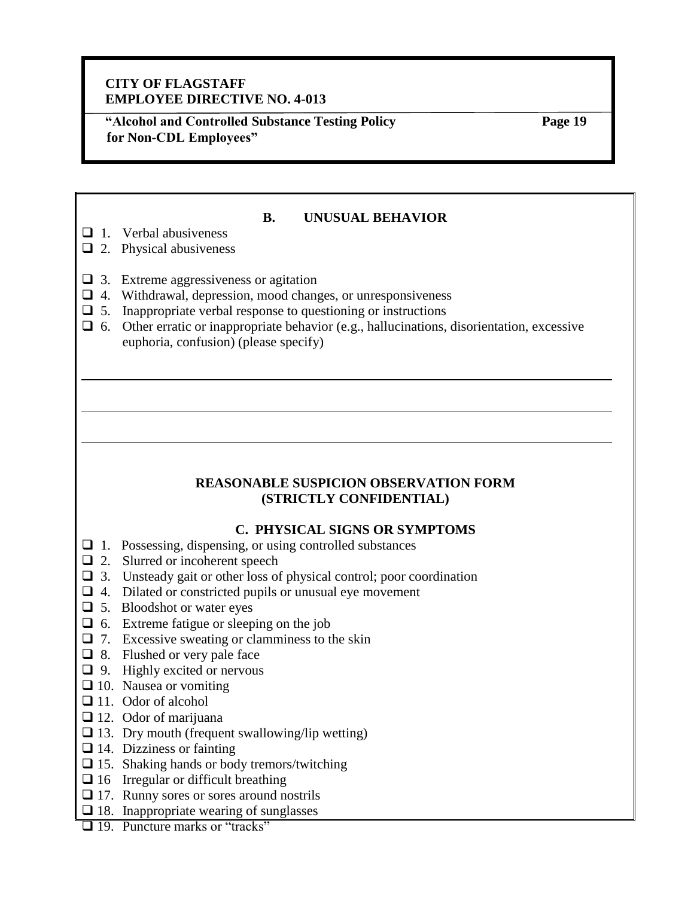**"Alcohol and Controlled Substance Testing Policy for Non-CDL Employees"**

**Page 19**

#### **B. UNUSUAL BEHAVIOR**

- $\Box$  1. Verbal abusiveness
- $\Box$  2. Physical abusiveness
- $\Box$  3. Extreme aggressiveness or agitation
- ❑ 4. Withdrawal, depression, mood changes, or unresponsiveness
- $\Box$  5. Inappropriate verbal response to questioning or instructions
- $\Box$  6. Other erratic or inappropriate behavior (e.g., hallucinations, disorientation, excessive euphoria, confusion) (please specify)

## **REASONABLE SUSPICION OBSERVATION FORM (STRICTLY CONFIDENTIAL)**

# **C. PHYSICAL SIGNS OR SYMPTOMS**

- ❑ 1. Possessing, dispensing, or using controlled substances
- ❑ 2. Slurred or incoherent speech
- ❑ 3. Unsteady gait or other loss of physical control; poor coordination
- $\Box$  4. Dilated or constricted pupils or unusual eye movement
- $\Box$  5. Bloodshot or water eyes
- ❑ 6. Extreme fatigue or sleeping on the job
- $\Box$  7. Excessive sweating or clamminess to the skin
- ❑ 8. Flushed or very pale face
- ❑ 9. Highly excited or nervous
- ❑ 10. Nausea or vomiting
- □ 11. Odor of alcohol
- ❑ 12. Odor of marijuana
- $\square$  13. Dry mouth (frequent swallowing/lip wetting)
- $\Box$  14. Dizziness or fainting
- ❑ 15. Shaking hands or body tremors/twitching
- $\Box$  16 Irregular or difficult breathing
- ❑ 17. Runny sores or sores around nostrils
- $\Box$  18. Inappropriate wearing of sunglasses
- □ 19. Puncture marks or "tracks"